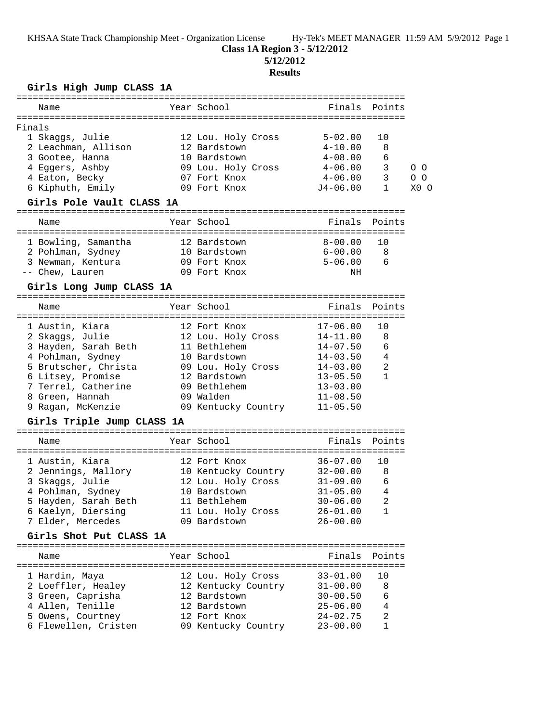KHSAA State Track Championship Meet - Organization License Hy-Tek's MEET MANAGER 11:59 AM 5/9/2012 Page 1

### **Class 1A Region 3 - 5/12/2012**

**5/12/2012**

### **Results**

### **Girls High Jump CLASS 1A**

|        | Name                      | Year School        | Finals Points |        |      |
|--------|---------------------------|--------------------|---------------|--------|------|
| Finals |                           |                    |               |        |      |
|        | 1 Skaggs, Julie           | 12 Lou. Holy Cross | $5 - 02.00$   | 10     |      |
|        | 2 Leachman, Allison       | 12 Bardstown       | $4 - 10.00$   | 8      |      |
|        | 3 Gootee, Hanna           | 10 Bardstown       | $4 - 08.00$   | 6      |      |
|        | 4 Eqqers, Ashby           | 09 Lou. Holy Cross | $4 - 06.00$   | 3      | n n  |
|        | 4 Eaton, Becky            | 07 Fort Knox       | $4 - 06.00$   | 3      | n n  |
|        | 6 Kiphuth, Emily          | 09 Fort Knox       | $T4 - 06.00$  | 1      | XV V |
|        | Girls Pole Vault CLASS 1A |                    |               |        |      |
|        | Name                      | Year School        | Finals        | Points |      |
|        |                           |                    |               |        |      |

| 1 Bowling, Samantha | 12 Bardstown | 8-00.00     | - 10 |
|---------------------|--------------|-------------|------|
| 2 Pohlman, Sydney   | 10 Bardstown | $6 - 00.00$ |      |
| 3 Newman, Kentura   | 09 Fort Knox | 5-06.00     | 6    |
| -- Chew, Lauren     | 09 Fort Knox | ΝH          |      |

#### **Girls Long Jump CLASS 1A**

| Name                 |  |                                                                                                                                                                             |                |
|----------------------|--|-----------------------------------------------------------------------------------------------------------------------------------------------------------------------------|----------------|
| 1 Austin, Kiara      |  | $17 - 06.00$                                                                                                                                                                | 10             |
| 2 Skaqqs, Julie      |  | $14 - 11.00$                                                                                                                                                                | 8              |
| 3 Hayden, Sarah Beth |  | $14 - 07.50$                                                                                                                                                                | 6              |
| 4 Pohlman, Sydney    |  | $14 - 03.50$                                                                                                                                                                | 4              |
| 5 Brutscher, Christa |  | $14 - 03.00$                                                                                                                                                                | $\mathfrak{D}$ |
| 6 Litsey, Promise    |  | $13 - 05.50$                                                                                                                                                                | 1              |
| 7 Terrel, Catherine  |  | $13 - 03.00$                                                                                                                                                                |                |
| 8 Green, Hannah      |  | $11 - 08.50$                                                                                                                                                                |                |
| 9 Ragan, McKenzie    |  | $11 - 05.50$                                                                                                                                                                |                |
|                      |  | Year School<br>12 Fort Knox<br>12 Lou. Holy Cross<br>11 Bethlehem<br>10 Bardstown<br>09 Lou. Holy Cross<br>12 Bardstown<br>09 Bethlehem<br>09 Walden<br>09 Kentucky Country | Finals Points  |

### **Girls Triple Jump CLASS 1A**

| Name                 | Year School         | Finals Points |     |
|----------------------|---------------------|---------------|-----|
| 1 Austin, Kiara      | 12 Fort Knox        | $36 - 07.00$  | 1 O |
| 2 Jennings, Mallory  | 10 Kentucky Country | $32 - 00.00$  | 8   |
| 3 Skaggs, Julie      | 12 Lou. Holy Cross  | $31 - 09.00$  | 6   |
| 4 Pohlman, Sydney    | 10 Bardstown        | $31 - 05.00$  | 4   |
| 5 Hayden, Sarah Beth | 11 Bethlehem        | $30 - 06.00$  | 2   |
| 6 Kaelyn, Diersing   | 11 Lou. Holy Cross  | $26 - 01.00$  |     |
| 7 Elder, Mercedes    | 09 Bardstown        | $26 - 00.00$  |     |
|                      |                     |               |     |

### **Girls Shot Put CLASS 1A**

| Name                 | Year School         | Finals Points |                |
|----------------------|---------------------|---------------|----------------|
| 1 Hardin, Maya       | 12 Lou. Holy Cross  | $33 - 01.00$  | 1 O            |
| 2 Loeffler, Healey   | 12 Kentucky Country | $31 - 00.00$  | 8              |
| 3 Green, Caprisha    | 12 Bardstown        | $30 - 00.50$  | 6              |
| 4 Allen, Tenille     | 12 Bardstown        | $25 - 06.00$  | 4              |
| 5 Owens, Courtney    | 12 Fort Knox        | $24 - 02.75$  | $\mathfrak{D}$ |
| 6 Flewellen, Cristen | 09 Kentucky Country | $23 - 00.00$  |                |
|                      |                     |               |                |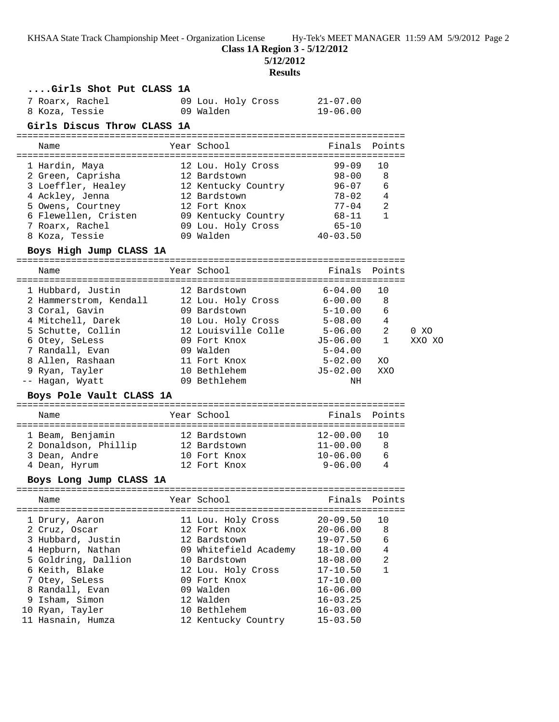KHSAA State Track Championship Meet - Organization License Hy-Tek's MEET MANAGER 11:59 AM 5/9/2012 Page 2

**Class 1A Region 3 - 5/12/2012**

**5/12/2012**

# **Results**

| Girls Shot Put CLASS 1A                           |                                                     |                    |                       |        |
|---------------------------------------------------|-----------------------------------------------------|--------------------|-----------------------|--------|
| 7 Roarx, Rachel                                   | 09 Lou. Holy Cross 21-07.00                         |                    |                       |        |
| 8 Koza, Tessie                                    | 09 Walden                                           | $19 - 06.00$       |                       |        |
| Girls Discus Throw CLASS 1A                       |                                                     |                    |                       |        |
|                                                   |                                                     |                    |                       |        |
| Name                                              | Year School                                         | Finals             | Points                |        |
|                                                   |                                                     |                    |                       |        |
| 1 Hardin, Maya                                    | 12 Lou. Holy Cross                                  | $99 - 09$          | 10                    |        |
| 2 Green, Caprisha                                 |                                                     | 98-00              | 8                     |        |
| 3 Loeffler, Healey<br>4 Ackley, Jenna             | 12 Bardstown<br>12 Kentucky Country<br>12 Bardstown | $96 - 07$          | 6                     |        |
| 5 Owens, Courtney                                 | 12 Fort Knox                                        | 78-02<br>$77 - 04$ | $\overline{4}$<br>- 2 |        |
| 6 Flewellen, Cristen 19 Kentucky Country 68-11    |                                                     |                    | 1                     |        |
| 7 Roarx, Rachel                                   |                                                     | $65 - 10$          |                       |        |
| 8 Koza, Tessie<br>09 Walden                       | 09 Lou. Holy Cross                                  | $40 - 03.50$       |                       |        |
|                                                   |                                                     |                    |                       |        |
| Boys High Jump CLASS 1A                           |                                                     |                    |                       |        |
| Name                                              | Year School                                         | Finals             | Points                |        |
|                                                   |                                                     |                    |                       |        |
| 1 Hubbard, Justin                                 | 12 Bardstown                                        | $6 - 04.00$        | 10                    |        |
| 2 Hammerstrom, Kendall 12 Lou. Holy Cross 6-00.00 |                                                     |                    | 8                     |        |
| 3 Coral, Gavin                                    | 09 Bardstown                                        | $5 - 10.00$ 6      |                       |        |
| 4 Mitchell, Darek 10 Lou. Holy Cross 5-08.00 4    |                                                     |                    |                       |        |
| 5 Schutte, Collin                                 | 12 Louisville Colle 5-06.00                         |                    | 2                     | 0 XO   |
| 6 Otey, SeLess                                    | 09 Fort Knox                                        | $J5 - 06.00$       | $\mathbf{1}$          | XXO XO |
| 7 Randall, Evan                                   | 09 Walden                                           | 5-04.00            |                       |        |
| 8 Allen, Rashaan<br><sup>0 B</sup> yan. Tayler    | 11 Fort Knox                                        | $5 - 02.00$        | XO                    |        |
|                                                   | 10 Bethlehem                                        | J5-02.00           | XXO                   |        |
| -- Hagan, Wyatt<br>09 Bethlehem                   |                                                     | ΝH                 |                       |        |
| Boys Pole Vault CLASS 1A                          |                                                     |                    |                       |        |
|                                                   |                                                     |                    |                       |        |
| Name                                              | Year School                                         | Finals Points      |                       |        |
| 1 Beam, Benjamin                                  | 12 Bardstown                                        | $12 - 00.00$       | 10                    |        |
| 2 Donaldson, Phillip 12 Bardstown                 |                                                     | $11 - 00.00$ 8     |                       |        |
| 3 Dean, Andre                                     | 10 Fort Knox                                        | $10 - 06.00$ 6     |                       |        |
| 4 Dean, Hyrum                                     | 12 Fort Knox                                        | 9-06.00            | $\overline{4}$        |        |
| Boys Long Jump CLASS 1A                           |                                                     |                    |                       |        |
|                                                   |                                                     |                    |                       |        |
| Name                                              | Year School                                         | Finals             | Points                |        |
| ================================                  | ========                                            | ============       |                       |        |
| 1 Drury, Aaron                                    | 11 Lou. Holy Cross                                  | $20 - 09.50$       | 10                    |        |
| 2 Cruz, Oscar                                     | 12 Fort Knox                                        | $20 - 06.00$       | 8                     |        |
| 3 Hubbard, Justin                                 | 12 Bardstown                                        | 19-07.50           | 6                     |        |
| 4 Hepburn, Nathan                                 | 09 Whitefield Academy                               | 18-10.00           | 4<br>$\overline{2}$   |        |
| 5 Goldring, Dallion                               | 10 Bardstown                                        | $18 - 08.00$       |                       |        |
| 6 Keith, Blake                                    | 12 Lou. Holy Cross                                  | $17 - 10.50$       | $\mathbf{1}$          |        |
| 7 Otey, SeLess                                    | 09 Fort Knox                                        | $17 - 10.00$       |                       |        |
| 8 Randall, Evan                                   | 09 Walden                                           | $16 - 06.00$       |                       |        |
| 9 Isham, Simon                                    | 12 Walden                                           | $16 - 03.25$       |                       |        |
| 10 Ryan, Tayler                                   | 10 Bethlehem                                        | $16 - 03.00$       |                       |        |
| 11 Hasnain, Humza                                 | 12 Kentucky Country                                 | $15 - 03.50$       |                       |        |